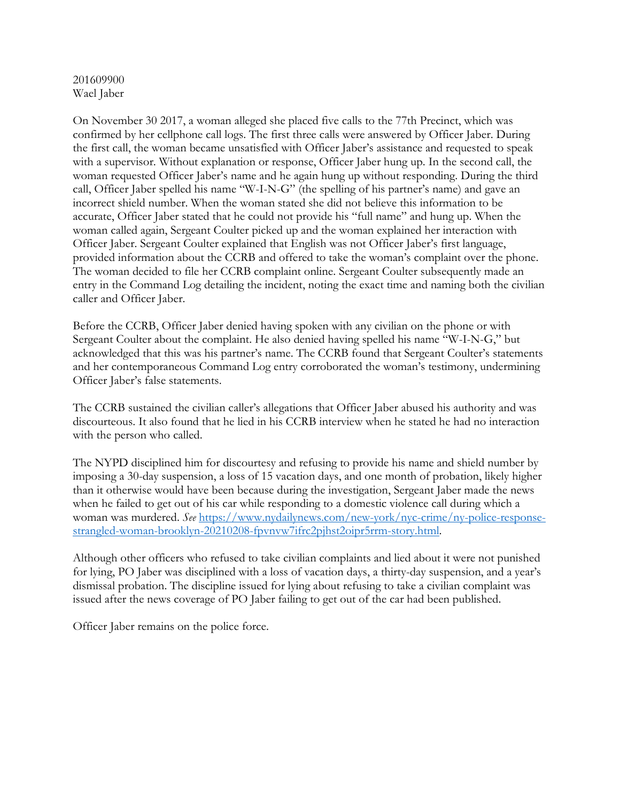# 201609900 Wael Jaber

On November 30 2017, a woman alleged she placed five calls to the 77th Precinct, which was confirmed by her cellphone call logs. The first three calls were answered by Officer Jaber. During the first call, the woman became unsatisfied with Officer Jaber's assistance and requested to speak with a supervisor. Without explanation or response, Officer Jaber hung up. In the second call, the woman requested Officer Jaber's name and he again hung up without responding. During the third call, Officer Jaber spelled his name "W-I-N-G" (the spelling of his partner's name) and gave an incorrect shield number. When the woman stated she did not believe this information to be accurate, Officer Jaber stated that he could not provide his "full name" and hung up. When the woman called again, Sergeant Coulter picked up and the woman explained her interaction with Officer Jaber. Sergeant Coulter explained that English was not Officer Jaber's first language, provided information about the CCRB and offered to take the woman's complaint over the phone. The woman decided to file her CCRB complaint online. Sergeant Coulter subsequently made an entry in the Command Log detailing the incident, noting the exact time and naming both the civilian caller and Officer Jaber.

Before the CCRB, Officer Jaber denied having spoken with any civilian on the phone or with Sergeant Coulter about the complaint. He also denied having spelled his name "W-I-N-G," but acknowledged that this was his partner's name. The CCRB found that Sergeant Coulter's statements and her contemporaneous Command Log entry corroborated the woman's testimony, undermining Officer Jaber's false statements.

The CCRB sustained the civilian caller's allegations that Officer Jaber abused his authority and was discourteous. It also found that he lied in his CCRB interview when he stated he had no interaction with the person who called.

The NYPD disciplined him for discourtesy and refusing to provide his name and shield number by imposing a 30-day suspension, a loss of 15 vacation days, and one month of probation, likely higher than it otherwise would have been because during the investigation, Sergeant Jaber made the news when he failed to get out of his car while responding to a domestic violence call during which a woman was murdered. *See* https://www.nydailynews.com/new-york/nyc-crime/ny-police-responsestrangled-woman-brooklyn-20210208-fpvnvw7ifrc2pjhst2oipr5rrm-story.html.

Although other officers who refused to take civilian complaints and lied about it were not punished for lying, PO Jaber was disciplined with a loss of vacation days, a thirty-day suspension, and a year's dismissal probation. The discipline issued for lying about refusing to take a civilian complaint was issued after the news coverage of PO Jaber failing to get out of the car had been published.

Officer Jaber remains on the police force.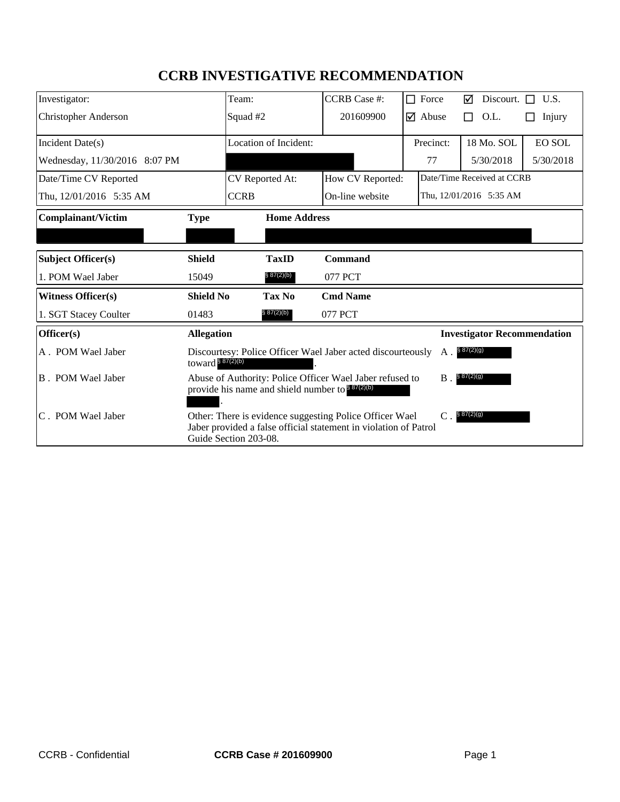# **CCRB INVESTIGATIVE RECOMMENDATION**

| Investigator:                 |                                                                                                                                                                                       | Team:                        | <b>CCRB</b> Case #: |       | $\Box$ Force                  | ⊠                                  | Discourt. $\Box$           | U.S.          |
|-------------------------------|---------------------------------------------------------------------------------------------------------------------------------------------------------------------------------------|------------------------------|---------------------|-------|-------------------------------|------------------------------------|----------------------------|---------------|
| <b>Christopher Anderson</b>   |                                                                                                                                                                                       | Squad #2                     | 201609900           |       | $\overline{\mathbf{y}}$ Abuse | П                                  | O.L.                       | Injury        |
| Incident Date(s)              |                                                                                                                                                                                       | <b>Location of Incident:</b> |                     |       | Precinct:                     |                                    | 18 Mo. SOL                 | <b>EO SOL</b> |
| Wednesday, 11/30/2016 8:07 PM |                                                                                                                                                                                       |                              |                     |       | 77                            |                                    | 5/30/2018                  | 5/30/2018     |
| Date/Time CV Reported         |                                                                                                                                                                                       | CV Reported At:              | How CV Reported:    |       |                               |                                    | Date/Time Received at CCRB |               |
| Thu, 12/01/2016 5:35 AM       |                                                                                                                                                                                       | <b>CCRB</b>                  | On-line website     |       |                               |                                    | Thu, 12/01/2016 5:35 AM    |               |
| <b>Complainant/Victim</b>     | <b>Type</b>                                                                                                                                                                           | <b>Home Address</b>          |                     |       |                               |                                    |                            |               |
|                               |                                                                                                                                                                                       |                              |                     |       |                               |                                    |                            |               |
| <b>Subject Officer(s)</b>     | <b>Shield</b>                                                                                                                                                                         | <b>TaxID</b>                 | <b>Command</b>      |       |                               |                                    |                            |               |
| 1. POM Wael Jaber             | 15049                                                                                                                                                                                 | § 87(2)(b)                   | 077 PCT             |       |                               |                                    |                            |               |
| <b>Witness Officer(s)</b>     | <b>Shield No</b>                                                                                                                                                                      | Tax No                       | <b>Cmd Name</b>     |       |                               |                                    |                            |               |
| 1. SGT Stacey Coulter         | 01483                                                                                                                                                                                 | § 87(2)(b)                   | 077 PCT             |       |                               |                                    |                            |               |
| Officer(s)                    |                                                                                                                                                                                       | <b>Allegation</b>            |                     |       |                               | <b>Investigator Recommendation</b> |                            |               |
| A. POM Wael Jaber             | § 87(2)(g)<br>Discourtesy: Police Officer Wael Jaber acted discourteously<br>A.<br>toward $887(2)(b)$                                                                                 |                              |                     |       |                               |                                    |                            |               |
| B. POM Wael Jaber             | Abuse of Authority: Police Officer Wael Jaber refused to<br>provide his name and shield number to $887(2)(b)$                                                                         |                              |                     | $B$ . | \$87(2)(g)                    |                                    |                            |               |
| C. POM Wael Jaber             | \$87(2)(g)<br>Other: There is evidence suggesting Police Officer Wael<br>$\mathcal{C}$ .<br>Jaber provided a false official statement in violation of Patrol<br>Guide Section 203-08. |                              |                     |       |                               |                                    |                            |               |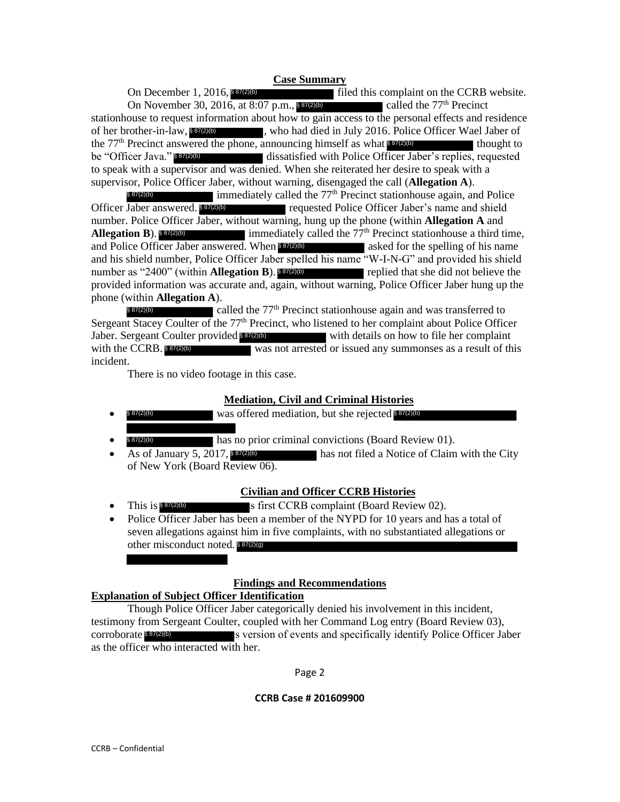#### **Case Summary**

I filed this complaint on the CCRB website. On November 30, 2016, at 8:07 p.m., 887(2)(b) called the  $77<sup>th</sup>$  Precinct stationhouse to request information about how to gain access to the personal effects and residence of her brother-in-law, 887(2) who had died in July 2016. Police Officer Wael Jaber of the  $77<sup>th</sup>$  Precinct answered the phone, announcing himself as what  $$87(2)$ (b) thought to dissatisfied with Police Officer Jaber's replies, requested to speak with a supervisor and was denied. When she reiterated her desire to speak with a supervisor, Police Officer Jaber, without warning, disengaged the call (**Allegation A**). On December 1, 2016, \$87(2)(b) be "Officer Java." \$87(2)(b)

 $\blacksquare$  immediately called the 77<sup>th</sup> Precinct stationhouse again, and Police requested Police Officer Jaber's name and shield number. Police Officer Jaber, without warning, hung up the phone (within **Allegation A** and **Allegative immediately called the**  $77<sup>th</sup>$  **Precinct stationhouse a third time,** and Police Officer Jaber answered. When 887(2)(b) asked for the spelling of his name and his shield number, Police Officer Jaber spelled his name "W-I-N-G" and provided his shield number as "2400" (within **Allegation B**). **887(2)(b)** replied that she did not believe the provided information was accurate and, again, without warning, Police Officer Jaber hung up the phone (within **Allegation A**). § 87(2)(b)  $Omega$  Jaber answered  $\frac{887(2)(b)}{2}$ Allegation B). § 87(2)(b) Er-in-law, \$37(2)(b)<br>
inct answered the<br>
Java." \$37(2)(b)<br>
h a supervisor a<br>
Police Officer Jabe<br>
Franswered \$37(2)<br>
ice Officer Jabe<br>
B). \$37(2)(b)<br>
Dfficer Jaber ans<br>
ld number, Polic<br>
2400" (within A<br>
formation was a<br>
i

called the 77<sup>th</sup> Precinct stationhouse again and was transferred to Sergeant Stacey Coulter of the 77<sup>th</sup> Precinct, who listened to her complaint about Police Officer Jaber. Sergeant Coulter provided 887(2)(b) with details on how to file her complaint was not arrested or issued any summonses as a result of this incident. § 87(2)(b) with the CCRB. \$87(2)(b)

There is no video footage in this case.

# **Mediation, Civil and Criminal Histories**

- § 87(2)(b) was offered mediation, but she rejected § 87(2)(b) § 87(2)(b)
- \$87(2)(b) has no prior criminal convictions (Board Review 01). § 87(2)(b)
- **has not filed a Notice of Claim with the City** of New York (Board Review 06). • As of January 5, 2017, \$87(2)(b)

# **Civilian and Officer CCRB Histories**

- This is S<sup>87</sup><sup>(2)</sup><sup>(b)</sup> s first CCRB complaint (Board Review 02). This is  $$87(2)(b)$
- Police Officer Jaber has been a member of the NYPD for 10 years and has a total of seven allegations against him in five complaints, with no substantiated allegations or other misconduct noted. \$87(2)(9)

# **Findings and Recommendations**

# **Explanation of Subject Officer Identification**

Though Police Officer Jaber categorically denied his involvement in this incident, testimony from Sergeant Coulter, coupled with her Command Log entry (Board Review 03), corroborate 887(2)(b) s version of events and specifically identify Police Officer Jaber as the officer who interacted with her.

Page 2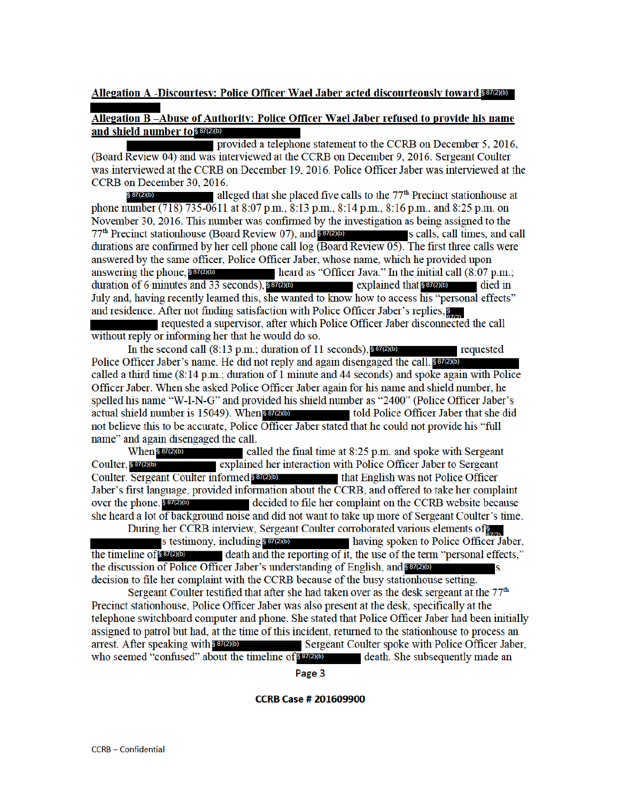### Allegation A -Discourtesy: Police Officer Wael Jaber acted discourteously toward 887(2)(b)

### Allegation B-Abuse of Authority: Police Officer Wael Jaber refused to provide his name and shield number to \$87(2)(b)

provided a telephone statement to the CCRB on December 5, 2016, (Board Review 04) and was interviewed at the CCRB on December 9, 2016. Sergeant Coulter was interviewed at the CCRB on December 19, 2016. Police Officer Jaber was interviewed at the CCRB on December 30, 2016.

§ 87(2)(b) alleged that she placed five calls to the  $77<sup>th</sup>$  Precinct stationhouse at phone number (718) 735-0611 at 8:07 p.m., 8:13 p.m., 8:14 p.m., 8:16 p.m., and 8:25 p.m. on November 30, 2016. This number was confirmed by the investigation as being assigned to the 77<sup>th</sup> Precinct stationhouse (Board Review 07), and **SB7(2)(b)** s calls, call times, and call durations are confirmed by her cell phone call  $log$  (Board Review 05). The first three calls were answered by the same officer. Police Officer Jaber, whose name, which he provided upon answering the phone,  $$87(2)(b)$ heard as "Officer Java." In the initial call (8:07 p.m.; duration of 6 minutes and 33 seconds),  $8\frac{87(2)(b)}{2}$ explained that \$87(2)(b) died in July and, having recently learned this, she wanted to know how to access his "personal effects" and residence. After not finding satisfaction with Police Officer Jaber's replies, S

requested a supervisor, after which Police Officer Jaber disconnected the call without reply or informing her that he would do so.

In the second call  $(8.13 \text{ p.m.})$ ; duration of 11 seconds), 887(2)(b) requested Police Officer Jaber's name. He did not reply and again disengaged the call. 887(2)(b) called a third time (8:14 p.m.; duration of 1 minute and 44 seconds) and spoke again with Police Officer Jaber. When she asked Police Officer Jaber again for his name and shield number, he spelled his name "W-I-N-G" and provided his shield number as "2400" (Police Officer Jaber's actual shield number is 15049). When some stress told Police Officer Jaber that she did not believe this to be accurate, Police Officer Jaber stated that he could not provide his "full name" and again disengaged the call.

When \$87(2)(b) called the final time at 8:25 p.m. and spoke with Sergeant Coulter, § 87(2)(b) explained her interaction with Police Officer Jaber to Sergeant Coulter. Sergeant Coulter informed 887(2)(b) that English was not Police Officer Jaber's first language, provided information about the CCRB, and offered to take her complaint over the phone. § 87(2)(b) decided to file her complaint on the CCRB website because she heard a lot of background noise and did not want to take up more of Sergeant Coulter's time.

During her CCRB interview, Sergeant Coulter corroborated various elements of s testimony, including  $847(2)$ (b) having spoken to Police Officer Jaber, the timeline of § 87(2)(b) death and the reporting of it, the use of the term "personal effects," the discussion of Police Officer Jaber's understanding of English, and **SETEND** decision to file her complaint with the CCRB because of the busy stationhouse setting.

Sergeant Coulter testified that after she had taken over as the desk sergeant at the 77<sup>th</sup> Precinct stationhouse, Police Officer Jaber was also present at the desk, specifically at the telephone switchboard computer and phone. She stated that Police Officer Jaber had been initially assigned to patrol but had, at the time of this incident, returned to the stationhouse to process an arrest. After speaking with \$87(2)(b) Sergeant Coulter spoke with Police Officer Jaber, who seemed "confused" about the timeline of 887(2)(b) death. She subsequently made an

Page 3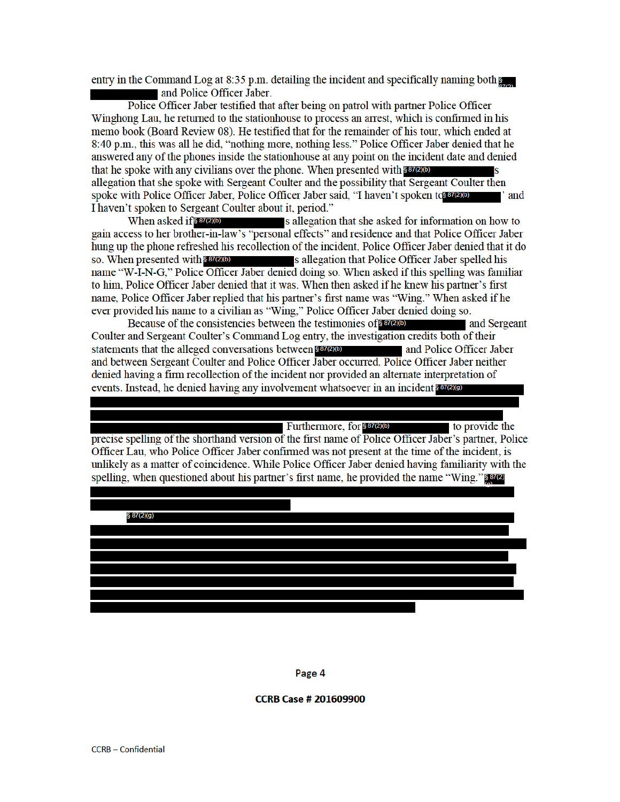entry in the Command Log at 8:35 p.m. detailing the incident and specifically naming both  $\epsilon$ and Police Officer Jaber.

Police Officer Jaber testified that after being on patrol with partner Police Officer Winghong Lau, he returned to the stationhouse to process an arrest, which is confirmed in his memo book (Board Review 08). He testified that for the remainder of his tour, which ended at 8:40 p.m., this was all he did, "nothing more, nothing less." Police Officer Jaber denied that he answered any of the phones inside the stationhouse at any point on the incident date and denied that he spoke with any civilians over the phone. When presented with \$87200 allegation that she spoke with Sergeant Coulter and the possibility that Sergeant Coulter then spoke with Police Officer Jaber, Police Officer Jaber said, "I haven't spoken to any of ∎' and I haven't spoken to Sergeant Coulter about it, period."

When asked if § 87(2)(b) s allegation that she asked for information on how to gain access to her brother-in-law's "personal effects" and residence and that Police Officer Jaber hung up the phone refreshed his recollection of the incident, Police Officer Jaber denied that it do so. When presented with \$87(2)(b) s allegation that Police Officer Jaber spelled his name "W-I-N-G," Police Officer Jaber denied doing so. When asked if this spelling was familiar to him, Police Officer Jaber denied that it was. When then asked if he knew his partner's first name, Police Officer Jaber replied that his partner's first name was "Wing." When asked if he ever provided his name to a civilian as "Wing," Police Officer Jaber denied doing so.

Because of the consistencies between the testimonies of 8 87(2)(b) and Sergeant Coulter and Sergeant Coulter's Command Log entry, the investigation credits both of their statements that the alleged conversations between § 87(2)(b) and Police Officer Jaber and between Sergeant Coulter and Police Officer Jaber occurred. Police Officer Jaber neither denied having a firm recollection of the incident nor provided an alternate interpretation of events. Instead, he denied having any involvement whatsoever in an incident \$87(2)(9)

Furthermore, for \$87(2)(b) to provide the precise spelling of the shorthand version of the first name of Police Officer Jaber's partner, Police Officer Lau, who Police Officer Jaber confirmed was not present at the time of the incident, is unlikely as a matter of coincidence. While Police Officer Jaber denied having familiarity with the spelling, when questioned about his partner's first name, he provided the name "Wing."



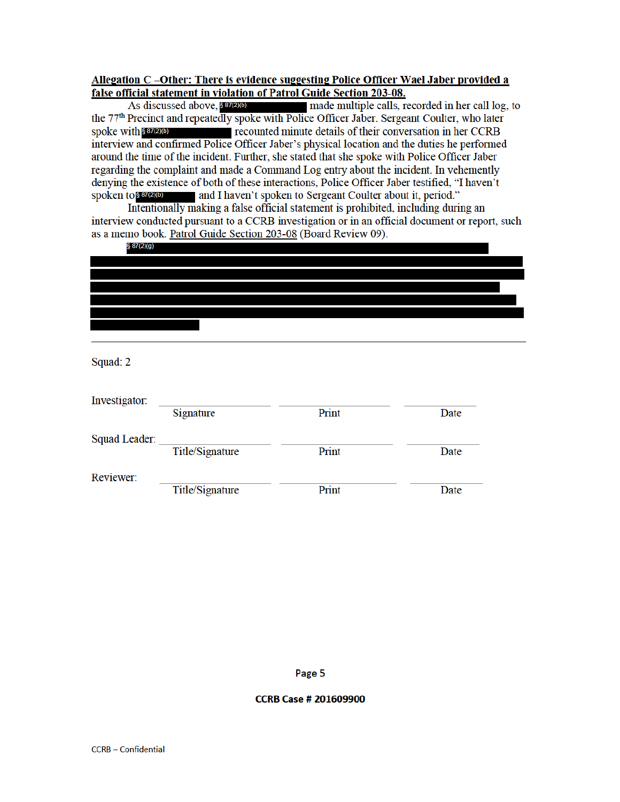# Allegation C-Other: There is evidence suggesting Police Officer Wael Jaber provided a false official statement in violation of Patrol Guide Section 203-08.

As discussed above, \$87(2)(b) made multiple calls, recorded in her call log, to the 77<sup>th</sup> Precinct and repeatedly spoke with Police Officer Jaber. Sergeant Coulter, who later spoke with \$87(2)(b) recounted minute details of their conversation in her CCRB interview and confirmed Police Officer Jaber's physical location and the duties he performed around the time of the incident. Further, she stated that she spoke with Police Officer Jaber regarding the complaint and made a Command Log entry about the incident. In vehemently denying the existence of both of these interactions, Police Officer Jaber testified, "I haven't spoken to  $$37(2)(b)$ and I haven't spoken to Sergeant Coulter about it, period."

Intentionally making a false official statement is prohibited, including during an interview conducted pursuant to a CCRB investigation or in an official document or report, such as a memo book. Patrol Guide Section 203-08 (Board Review 09).

| § 87(2)(g) |  |  |  |
|------------|--|--|--|
|            |  |  |  |
|            |  |  |  |
|            |  |  |  |
|            |  |  |  |
|            |  |  |  |
|            |  |  |  |
|            |  |  |  |

Squad: 2

| Investigator:        |                 |       |      |  |  |
|----------------------|-----------------|-------|------|--|--|
|                      | Signature       | Print | Date |  |  |
| <b>Squad Leader:</b> |                 |       |      |  |  |
|                      | Title/Signature | Print | Date |  |  |
| Reviewer:            |                 |       |      |  |  |
|                      | Title/Signature | Print | Date |  |  |

Page 5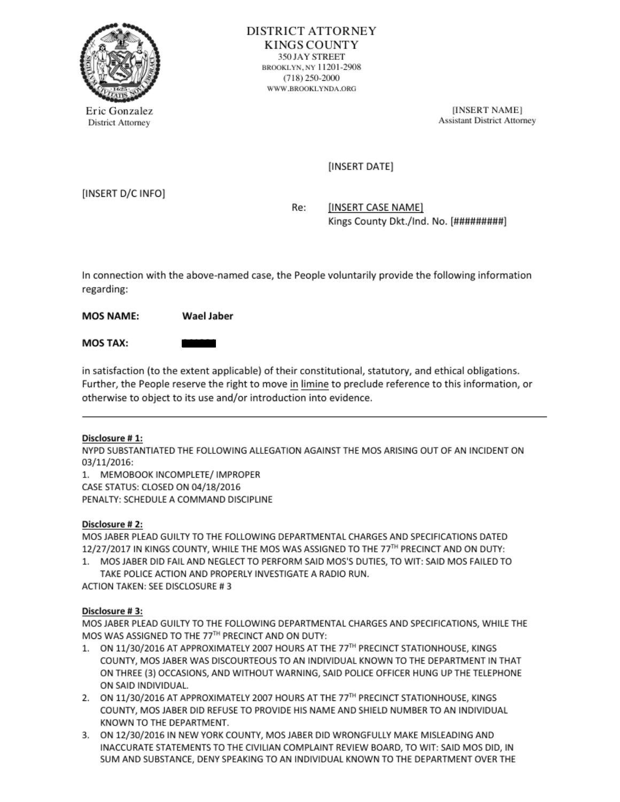

Eric Gonzalez [INSERT NAME] [INSERT NAME]

(INSERT DATE]

(INSERT D/C INFO)

Re: [INSERT CASE NAME] Kings County Dkt./Ind. No. [#########]

In connection with the above-named case, the People voluntarily provide the following information regarding: Mos Tax: —

MOS NAME: Wael Jaber

in satisfaction (to the extent applicable) of their constitutional, statutory, and ethical obligations. Further, the People reserve the right to move in limine to preclude reference to this information, or otherwise to object to its use and/or introduction into evidence.

# Disclosure #1:

NYPD SUBSTANTIATED THE FOLLOWING ALLEGATION AGAINST THE MOS ARISING OUT OF AN INCIDENT ON 03/11/2016:

1. MEMOBOOK INCOMPLETE/ IMPROPER (CASE STATUS: CLOSED ON 04/18/2016

PENALTY: SCHEDULE ACOMMAND DISCIPUNE

Disclosure # 2:<br>MOS JABER PLEAD GUILTY TO THE FOLLOWING DEPARTMENTAL CHARGES AND SPECIFICATIONS DATED. 12/27/2017 IN KINGS COUNTY, WHILE THE MOS WAS ASSIGNED TO THE 77TH PRECINCT AND ON DUTY:

1. MOS JABER DID FAIL AND NEGLECT TO PERFORM SAID MOS'S DUTIES, TO WIT: SAID MOS FAILED TO. TAKE POLICE ACTION AND PROPERLY INVESTIGATE A RADIO RUN.

ACTION TAXEN: SEE DISCLOSURE #3

Disclosure # 3:<br>MOS JABER PLEAD GUILTY TO THE FOLLOWING DEPARTMENTAL CHARGES AND SPECIFICATIONS, WHILE THE<br>MOS WAS ASSIGNED TO THE 77<sup>TH</sup> PRECINCT AND ON DUTY:

- 1. ON 11/30/2016AT APPROXIMATELY 2007 HOURS AT THE 77" PRECINCT STATIONHOUSE, KINGS 'COUNTY, MOS JABER WAS DISCOURTEOUSTO AN INDIVIDUAL KNOWN TO THE DEPARTMENT IN THAT ON THREE (3) OCCASIONS, AND WITHOUT WARNING, SAID POLICE OFFICER HUNG UP THE TELEPHONE 'ON SAID INDIVIDUAL.
- 2. ON 11/30/2016 AT APPROXIMATELY 2007 HOURS AT THE 77<sup>TH</sup> PRECINCT STATIONHOUSE, KINGS 'COUNTY, MOS JABER DID REFUSE TO PROVIDE HIS NAME AND SHIELD NUMBER TO AN INDIVIDUAL KNOWN TO THE DEPARTMENT.
- 3. ON 12/30/2016 IN NEW YORK COUNTY, MOS JABER DID WRONGFULLY MAKE MISLEADING AND INACCURATE STATEMENTS TO THE CIVILIAN COMPLAINT REVIEW BOARD, TO WIT: SAID MOS DID, IN<br>SUM AND SUBSTANCE, DENY SPEAKING TO AN INDIVIDUAL KNOWN TO THE DEPARTMENT OVER THE